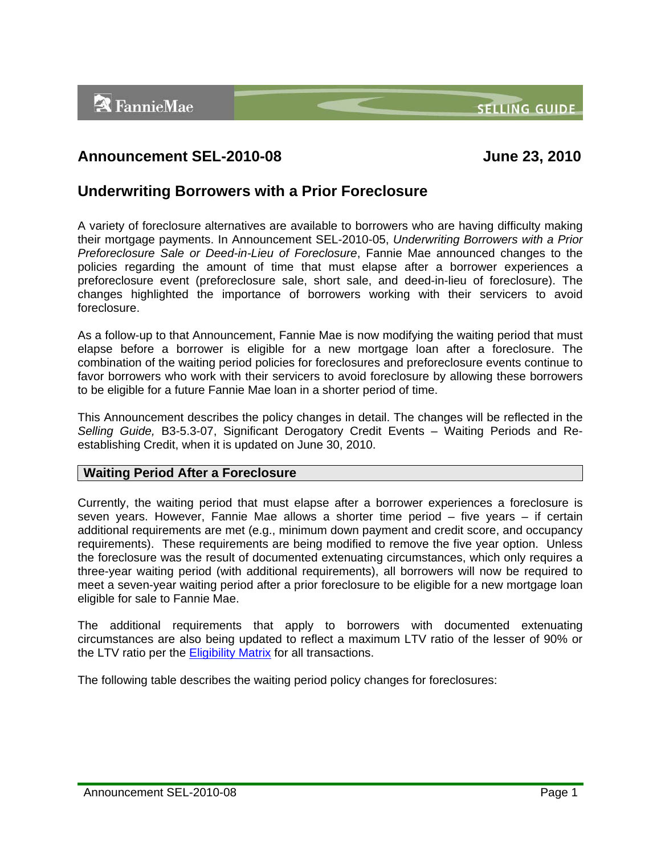**SELLING GUIDE** 



# **Announcement SEL-2010-08 June 23, 2010**

## **Underwriting Borrowers with a Prior Foreclosure**

A variety of foreclosure alternatives are available to borrowers who are having difficulty making their mortgage payments. In Announcement SEL-2010-05, *Underwriting Borrowers with a Prior Preforeclosure Sale or Deed-in-Lieu of Foreclosure*, Fannie Mae announced changes to the policies regarding the amount of time that must elapse after a borrower experiences a preforeclosure event (preforeclosure sale, short sale, and deed-in-lieu of foreclosure). The changes highlighted the importance of borrowers working with their servicers to avoid foreclosure.

As a follow-up to that Announcement, Fannie Mae is now modifying the waiting period that must elapse before a borrower is eligible for a new mortgage loan after a foreclosure. The combination of the waiting period policies for foreclosures and preforeclosure events continue to favor borrowers who work with their servicers to avoid foreclosure by allowing these borrowers to be eligible for a future Fannie Mae loan in a shorter period of time.

This Announcement describes the policy changes in detail. The changes will be reflected in the *Selling Guide,* B3-5.3-07, Significant Derogatory Credit Events – Waiting Periods and Reestablishing Credit, when it is updated on June 30, 2010.

## **Waiting Period After a Foreclosure**

Currently, the waiting period that must elapse after a borrower experiences a foreclosure is seven years. However, Fannie Mae allows a shorter time period – five years – if certain additional requirements are met (e.g., minimum down payment and credit score, and occupancy requirements). These requirements are being modified to remove the five year option. Unless the foreclosure was the result of documented extenuating circumstances, which only requires a three-year waiting period (with additional requirements), all borrowers will now be required to meet a seven-year waiting period after a prior foreclosure to be eligible for a new mortgage loan eligible for sale to Fannie Mae.

The additional requirements that apply to borrowers with documented extenuating circumstances are also being updated to reflect a maximum LTV ratio of the lesser of 90% or the LTV ratio per the **Eligibility Matrix** for all transactions.

The following table describes the waiting period policy changes for foreclosures: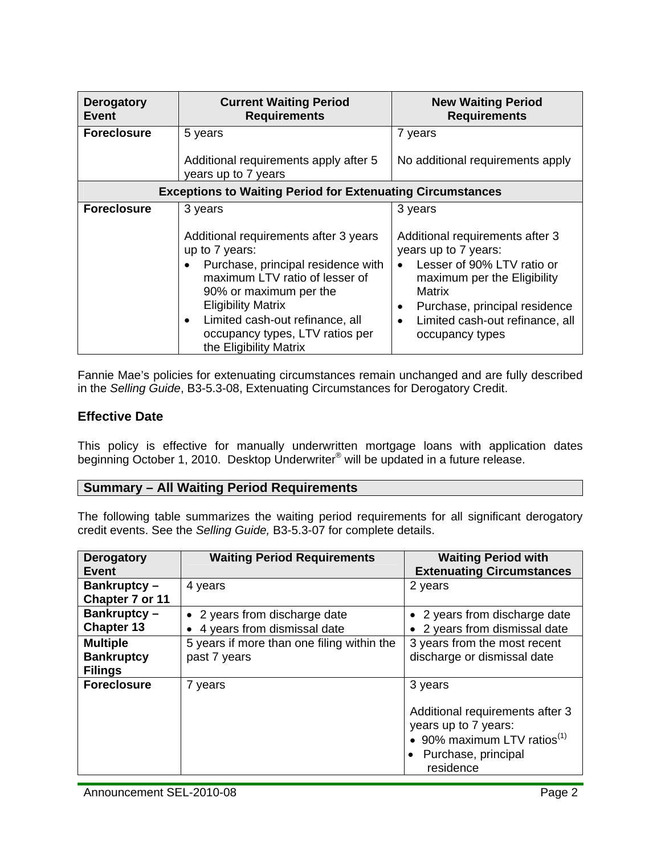| <b>Derogatory</b><br><b>Event</b>                                 | <b>Current Waiting Period</b><br><b>Requirements</b>                                                                                                                                                                                                                                                                        | <b>New Waiting Period</b><br><b>Requirements</b>                                                                                                                                                                                                                               |  |  |
|-------------------------------------------------------------------|-----------------------------------------------------------------------------------------------------------------------------------------------------------------------------------------------------------------------------------------------------------------------------------------------------------------------------|--------------------------------------------------------------------------------------------------------------------------------------------------------------------------------------------------------------------------------------------------------------------------------|--|--|
| <b>Foreclosure</b>                                                | 5 years<br>Additional requirements apply after 5<br>years up to 7 years                                                                                                                                                                                                                                                     | 7 years<br>No additional requirements apply                                                                                                                                                                                                                                    |  |  |
| <b>Exceptions to Waiting Period for Extenuating Circumstances</b> |                                                                                                                                                                                                                                                                                                                             |                                                                                                                                                                                                                                                                                |  |  |
| <b>Foreclosure</b>                                                | 3 years<br>Additional requirements after 3 years<br>up to 7 years:<br>Purchase, principal residence with<br>$\bullet$<br>maximum LTV ratio of lesser of<br>90% or maximum per the<br><b>Eligibility Matrix</b><br>Limited cash-out refinance, all<br>$\bullet$<br>occupancy types, LTV ratios per<br>the Eligibility Matrix | 3 years<br>Additional requirements after 3<br>years up to 7 years:<br>Lesser of 90% LTV ratio or<br>$\bullet$<br>maximum per the Eligibility<br><b>Matrix</b><br>Purchase, principal residence<br>$\bullet$<br>Limited cash-out refinance, all<br>$\bullet$<br>occupancy types |  |  |

Fannie Mae's policies for extenuating circumstances remain unchanged and are fully described in the *Selling Guide*, B3-5.3-08, Extenuating Circumstances for Derogatory Credit.

## **Effective Date**

This policy is effective for manually underwritten mortgage loans with application dates beginning October 1, 2010. Desktop Underwriter<sup>®</sup> will be updated in a future release.

#### **Summary – All Waiting Period Requirements**

The following table summarizes the waiting period requirements for all significant derogatory credit events. See the *Selling Guide,* B3-5.3-07 for complete details.

| <b>Derogatory</b><br>Event                             | <b>Waiting Period Requirements</b>                             | <b>Waiting Period with</b><br><b>Extenuating Circumstances</b>                                                                             |
|--------------------------------------------------------|----------------------------------------------------------------|--------------------------------------------------------------------------------------------------------------------------------------------|
| Bankruptcy-<br>Chapter 7 or 11                         | 4 years                                                        | 2 years                                                                                                                                    |
| Bankruptcy-<br><b>Chapter 13</b>                       | • 2 years from discharge date<br>• 4 years from dismissal date | • 2 years from discharge date<br>• 2 years from dismissal date                                                                             |
| <b>Multiple</b><br><b>Bankruptcy</b><br><b>Filings</b> | 5 years if more than one filing within the<br>past 7 years     | 3 years from the most recent<br>discharge or dismissal date                                                                                |
| <b>Foreclosure</b>                                     | 7 years                                                        | 3 years<br>Additional requirements after 3<br>years up to 7 years:<br>• 90% maximum LTV ratios $(1)$<br>• Purchase, principal<br>residence |